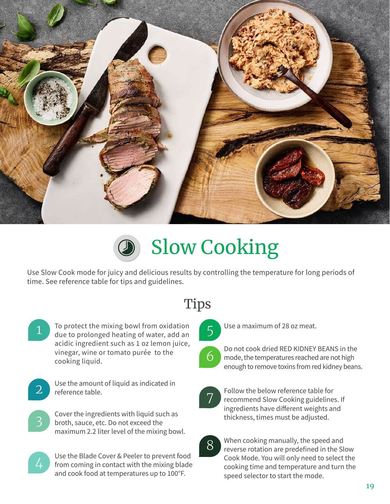



Use Slow Cook mode for juicy and delicious results by controlling the temperature for long periods of time. See reference table for tips and guidelines.



To protect the mixing bowl from oxidation due to prolonged heating of water, add an acidic ingredient such as 1 oz lemon juice, vinegar, wine or tomato purée to the cooking liquid.

2

3

Use the amount of liquid as indicated in reference table.

Cover the ingredients with liquid such as broth, sauce, etc. Do not exceed the maximum 2.2 liter level of the mixing bowl.



Use the Blade Cover & Peeler to prevent food from coming in contact with the mixing blade and cook food at temperatures up to 100°F.

# **Tips**



Use a maximum of 28 oz meat.



Do not cook dried RED KIDNEY BEANS in the mode, the temperatures reached are not high enough to remove toxins from red kidney beans.



Follow the below reference table for recommend Slow Cooking guidelines. If ingredients have different weights and thickness, times must be adjusted.



When cooking manually, the speed and reverse rotation are predefined in the Slow Cook Mode. You will only need to select the cooking time and temperature and turn the speed selector to start the mode.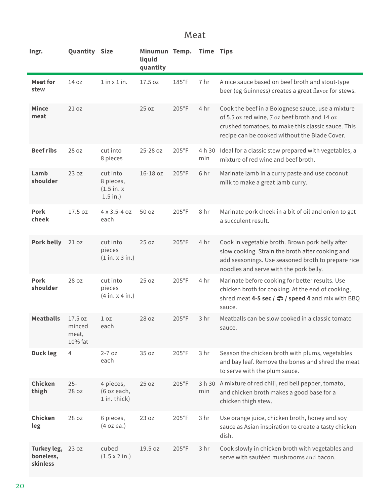#### Meat

| Ingr.                                | <b>Quantity Size</b>                  |                                                       | Minumun Temp.<br>liquid<br>quantity |                 | <b>Time Tips</b> |                                                                                                                                                                                                           |
|--------------------------------------|---------------------------------------|-------------------------------------------------------|-------------------------------------|-----------------|------------------|-----------------------------------------------------------------------------------------------------------------------------------------------------------------------------------------------------------|
| <b>Meat for</b><br>stew              | 14 oz                                 | $1$ in $x$ $1$ in.                                    | 17.5 oz                             | $185^{\circ}$ F | 7 hr             | A nice sauce based on beef broth and stout-type<br>beer (eg Guinness) creates a great flavor for stews.                                                                                                   |
| <b>Mince</b><br>meat                 | 21 oz                                 |                                                       | 25 oz                               | $205^{\circ}F$  | 4 hr             | Cook the beef in a Bolognese sauce, use a mixture<br>of 5.5 oz red wine, 7 oz beef broth and 14 oz<br>crushed tomatoes, to make this classic sauce. This<br>recipe can be cooked without the Blade Cover. |
| <b>Beef ribs</b>                     | 28 oz                                 | cut into<br>8 pieces                                  | 25-28 oz                            | $205^{\circ}F$  | 4 h 30<br>min    | Ideal for a classic stew prepared with vegetables, a<br>mixture of red wine and beef broth.                                                                                                               |
| Lamb<br>shoulder                     | 23 oz                                 | cut into<br>8 pieces,<br>$(1.5$ in. $x$<br>$1.5$ in.) | $16-18$ $oz$                        | $205^{\circ}F$  | 6 hr             | Marinate lamb in a curry paste and use coconut<br>milk to make a great lamb curry.                                                                                                                        |
| Pork<br>cheek                        | 17.5 oz                               | 4 x 3.5-4 oz<br>each                                  | 50 oz                               | $205^{\circ}F$  | 8 hr             | Marinate pork cheek in a bit of oil and onion to get<br>a succulent result.                                                                                                                               |
| <b>Pork belly</b>                    | 21 oz                                 | cut into<br>pieces<br>(1 in. x 3 in.)                 | 25 oz                               | $205^{\circ}$ F | 4 hr             | Cook in vegetable broth. Brown pork belly after<br>slow cooking. Strain the broth after cooking and<br>add seasonings. Use seasoned broth to prepare rice<br>noodles and serve with the pork belly.       |
| <b>Pork</b><br>shoulder              | 28 oz                                 | cut into<br>pieces<br>(4 in. x 4 in.)                 | 25 oz                               | $205^{\circ}F$  | 4 hr             | Marinate before cooking for better results. Use<br>chicken broth for cooking. At the end of cooking,<br>shred meat 4-5 sec $/$ $\bigcirc$ / speed 4 and mix with BBQ<br>sauce.                            |
| <b>Meatballs</b>                     | 17.5 oz<br>minced<br>meat,<br>10% fat | 1 <sub>oz</sub><br>each                               | 28 oz                               | $205^{\circ}$ F | 3 <sub>hr</sub>  | Meatballs can be slow cooked in a classic tomato<br>sauce.                                                                                                                                                |
| <b>Duck leg</b>                      | 4                                     | $2 - 7$ oz<br>each                                    | 35 oz                               | $205^{\circ}F$  | 3 hr             | Season the chicken broth with plums, vegetables<br>and bay leaf. Remove the bones and shred the meat<br>to serve with the plum sauce.                                                                     |
| Chicken<br>thigh                     | $25 -$<br>28 oz                       | 4 pieces,<br>(6 oz each,<br>1 in. thick)              | 25 oz                               | $205^{\circ}F$  | min              | 3 h 30 A mixture of red chili, red bell pepper, tomato,<br>and chicken broth makes a good base for a<br>chicken thigh stew.                                                                               |
| Chicken<br>leg                       | 28 oz                                 | 6 pieces,<br>(4 oz ea.)                               | 23 oz                               | $205^{\circ}F$  | 3 hr             | Use orange juice, chicken broth, honey and soy<br>sauce as Asian inspiration to create a tasty chicken<br>dish.                                                                                           |
| Turkey leg,<br>boneless,<br>skinless | 23 oz                                 | cubed<br>$(1.5 \times 2 \text{ in.})$                 | 19.5 oz                             | $205^{\circ}F$  | 3 hr             | Cook slowly in chicken broth with vegetables and<br>serve with sautéed mushrooms and bacon.                                                                                                               |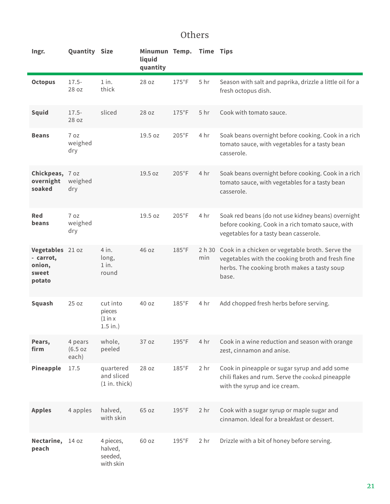### Others

| Ingr.                                                      | <b>Quantity Size</b>         |                                               | Minumun Temp.<br>liquid<br>quantity |                 | <b>Time Tips</b> |                                                                                                                                                                    |
|------------------------------------------------------------|------------------------------|-----------------------------------------------|-------------------------------------|-----------------|------------------|--------------------------------------------------------------------------------------------------------------------------------------------------------------------|
| <b>Octopus</b>                                             | $17.5 -$<br>28 oz            | $1$ in.<br>thick                              | 28 oz                               | $175^{\circ}$ F | 5 <sub>hr</sub>  | Season with salt and paprika, drizzle a little oil for a<br>fresh octopus dish.                                                                                    |
| <b>Squid</b>                                               | $17.5 -$<br>28 oz            | sliced                                        | 28 oz                               | $175^{\circ}$ F | 5 <sub>hr</sub>  | Cook with tomato sauce.                                                                                                                                            |
| <b>Beans</b>                                               | 7 oz<br>weighed<br>dry       |                                               | 19.5 oz                             | $205^{\circ}$ F | 4 hr             | Soak beans overnight before cooking. Cook in a rich<br>tomato sauce, with vegetables for a tasty bean<br>casserole.                                                |
| Chickpeas, 7 oz<br>overnight<br>soaked                     | weighed<br>dry               |                                               | 19.5 oz                             | $205^{\circ}F$  | 4 hr             | Soak beans overnight before cooking. Cook in a rich<br>tomato sauce, with vegetables for a tasty bean<br>casserole.                                                |
| Red<br>beans                                               | 7 oz<br>weighed<br>dry       |                                               | 19.5 oz                             | $205^{\circ}F$  | 4 hr             | Soak red beans (do not use kidney beans) overnight<br>before cooking. Cook in a rich tomato sauce, with<br>vegetables for a tasty bean casserole.                  |
| Vegetables 21 oz<br>- carrot,<br>onion,<br>sweet<br>potato |                              | 4 in.<br>long,<br>$1$ in.<br>round            | 46 oz                               | $185^{\circ}$ F | min              | 2 h 30 Cook in a chicken or vegetable broth. Serve the<br>vegetables with the cooking broth and fresh fine<br>herbs. The cooking broth makes a tasty soup<br>base. |
| <b>Squash</b>                                              | 25 oz                        | cut into<br>pieces<br>(1 in x)<br>$1.5$ in.)  | 40 oz                               | $185^{\circ}$ F | 4 hr             | Add chopped fresh herbs before serving.                                                                                                                            |
| Pears,<br>firm                                             | 4 pears<br>(6.5 oz)<br>each) | whole,<br>peeled                              | 37 oz                               | $195^{\circ}F$  | 4 hr             | Cook in a wine reduction and season with orange<br>zest, cinnamon and anise.                                                                                       |
| Pineapple                                                  | 17.5                         | quartered<br>and sliced<br>$(1 in.$ thick $)$ | 28 oz                               | $185^{\circ}$ F | 2 <sub>hr</sub>  | Cook in pineapple or sugar syrup and add some<br>chili flakes and rum. Serve the cooked pineapple<br>with the syrup and ice cream.                                 |
| <b>Apples</b>                                              | 4 apples                     | halved,<br>with skin                          | 65 oz                               | $195^{\circ}F$  | 2 <sub>hr</sub>  | Cook with a sugar syrup or maple sugar and<br>cinnamon. Ideal for a breakfast or dessert.                                                                          |
| Nectarine,<br>peach                                        | 14 oz                        | 4 pieces,<br>halved,<br>seeded,<br>with skin  | 60 oz                               | $195^{\circ}F$  | 2 <sub>hr</sub>  | Drizzle with a bit of honey before serving.                                                                                                                        |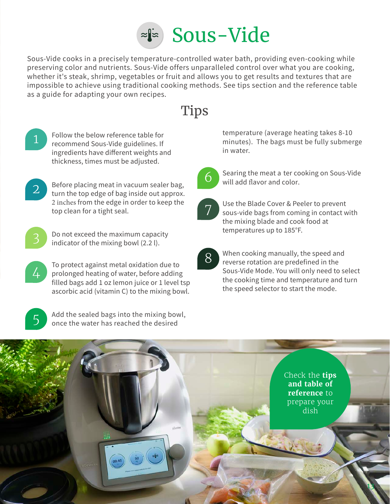

Sous-Vide cooks in a precisely temperature-controlled water bath, providing even-cooking while preserving color and nutrients. Sous-Vide offers unparalleled control over what you are cooking, whether it's steak, shrimp, vegetables or fruit and allows you to get results and textures that are impossible to achieve using traditional cooking methods. See tips section and the reference table as a guide for adapting your own recipes.



1

Follow the below reference table for recommend Sous-Vide guidelines. If ingredients have different weights and thickness, times must be adjusted.



Before placing meat in vacuum sealer bag, turn the top edge of bag inside out approx. 2 inches from the edge in order to keep the top clean for a tight seal.



Do not exceed the maximum capacity indicator of the mixing bowl (2.2 l).



To protect against metal oxidation due to prolonged heating of water, before adding filled bags add 1 oz lemon juice or 1 level tsp ascorbic acid (vitamin C) to the mixing bowl.



Add the sealed bags into the mixing bowl, once the water has reached the desired

temperature (average heating takes 8-10 minutes). The bags must be fully submerge in water.



Searing the meat a ter cooking on Sous-Vide will add flavor and color.



Use the Blade Cover & Peeler to prevent sous-vide bags from coming in contact with the mixing blade and cook food at temperatures up to 185°F.

8

When cooking manually, the speed and reverse rotation are predefined in the Sous-Vide Mode. You will only need to select the cooking time and temperature and turn the speed selector to start the mode.

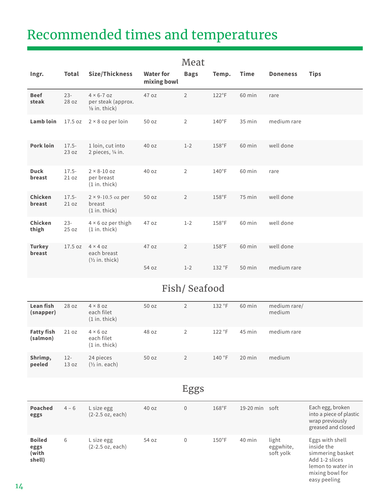# Recommended times and temperatures

|                         |                   |                                                                       |                                 | wical          |                 |             |                 |             |
|-------------------------|-------------------|-----------------------------------------------------------------------|---------------------------------|----------------|-----------------|-------------|-----------------|-------------|
| Ingr.                   | Total             | Size/Thickness                                                        | <b>Water for</b><br>mixing bowl | <b>Bags</b>    | Temp.           | <b>Time</b> | <b>Doneness</b> | <b>Tips</b> |
| <b>Beef</b><br>steak    | $23 -$<br>28 oz   | $4 \times 6 - 7$ oz<br>per steak (approx.<br>$\frac{1}{8}$ in. thick) | 47 oz                           | $\overline{2}$ | $122^{\circ}$ F | 60 min      | rare            |             |
| Lamb loin               | 17.5 oz           | $2 \times 8$ oz per loin                                              | 50 oz                           | $\overline{2}$ | $140^{\circ}$ F | 35 min      | medium rare     |             |
| <b>Pork loin</b>        | $17.5 -$<br>23 oz | 1 loin, cut into<br>2 pieces, 1/4 in.                                 | 40 oz                           | $1 - 2$        | $158^{\circ}$ F | 60 min      | well done       |             |
| <b>Duck</b><br>breast   | $17.5 -$<br>21 oz | $2 \times 8 - 10$ oz<br>per breast<br>$(1 in.$ thick)                 | 40 oz                           | $\overline{2}$ | $140^{\circ}$ F | 60 min      | rare            |             |
| Chicken<br>breast       | $17.5 -$<br>21 oz | $2 \times 9 - 10.5$ oz per<br>breast<br>$(1 in.$ thick $)$            | 50 oz                           | $\overline{2}$ | $158^{\circ}$ F | $75$ min    | well done       |             |
| Chicken<br>thigh        | $23 -$<br>25 oz   | $4 \times 6$ oz per thigh<br>$(1 in.$ thick $)$                       | 47 oz                           | $1 - 2$        | $158^{\circ}$ F | 60 min      | well done       |             |
| <b>Turkey</b><br>breast | 17.5 oz           | $4 \times 4$ OZ<br>each breast<br>$(\frac{1}{2}$ in. thick)           | 47 oz                           | $\overline{2}$ | $158^{\circ}$ F | 60 min      | well done       |             |
|                         |                   |                                                                       | 54 oz                           | $1 - 2$        | 132 °F          | 50 min      | medium rare     |             |

#### Mo<sub>at</sub>

### Fish/ Seafood

| Lean fish<br>(snapper)        | 28 oz           | $4 \times 8$ oz<br>each filet<br>$(1 in.$ thick) | 50 oz | 2              | 132 °F | 60 min   | medium rare/<br>medium |
|-------------------------------|-----------------|--------------------------------------------------|-------|----------------|--------|----------|------------------------|
| <b>Fatty fish</b><br>(salmon) | 21 oz           | $4 \times 6$ OZ<br>each filet<br>$(1 in.$ thick) | 48 oz | 2              | 122 °F | 45 min   | medium rare            |
| Shrimp,<br>peeled             | $12 -$<br>13 oz | 24 pieces<br>$(\frac{1}{2}$ in. each)            | 50 oz | $\overline{2}$ | 140 °F | $20$ min | medium                 |

### Eggs

| Poached<br>eggs                          | $4 - 6$ | L size egg<br>$(2-2.5$ oz, each) | 40 oz | $\overline{0}$ | 168°F           | 19-20 min | soft                            | Each egg, broken<br>into a piece of plastic<br>wrap previously<br>greased and closed                                        |
|------------------------------------------|---------|----------------------------------|-------|----------------|-----------------|-----------|---------------------------------|-----------------------------------------------------------------------------------------------------------------------------|
| <b>Boiled</b><br>eggs<br>(with<br>shell) | 6       | L size egg<br>$(2-2.5$ oz, each) | 54 oz | $\mathbf{0}$   | $150^{\circ}$ F | 40 min    | light<br>eggwhite,<br>soft yolk | Eggs with shell<br>inside the<br>simmering basket<br>Add 1-2 slices<br>lemon to water in<br>mixing bowl for<br>easy peeling |